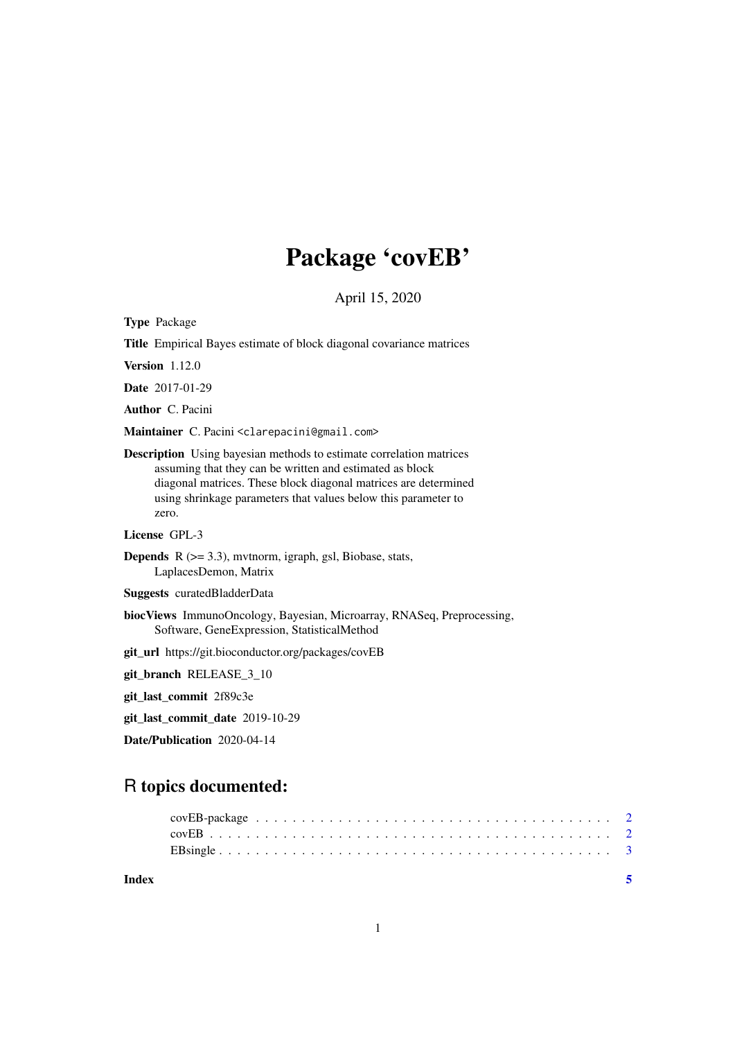## Package 'covEB'

April 15, 2020

Type Package

Title Empirical Bayes estimate of block diagonal covariance matrices

Version 1.12.0

Date 2017-01-29

Author C. Pacini

Maintainer C. Pacini <clarepacini@gmail.com>

Description Using bayesian methods to estimate correlation matrices assuming that they can be written and estimated as block diagonal matrices. These block diagonal matrices are determined using shrinkage parameters that values below this parameter to zero.

License GPL-3

- **Depends**  $R$  ( $>= 3.3$ ), mythorm, igraph, gsl, Biobase, stats, LaplacesDemon, Matrix
- Suggests curatedBladderData
- biocViews ImmunoOncology, Bayesian, Microarray, RNASeq, Preprocessing, Software, GeneExpression, StatisticalMethod

git\_url https://git.bioconductor.org/packages/covEB

git\_branch RELEASE\_3\_10

git\_last\_commit 2f89c3e

git\_last\_commit\_date 2019-10-29

Date/Publication 2020-04-14

### R topics documented:

| Index |  |  |  |  |  |  |  |  |  |  |  |  |  |  |  |  | $\sim$ 5 |
|-------|--|--|--|--|--|--|--|--|--|--|--|--|--|--|--|--|----------|
|       |  |  |  |  |  |  |  |  |  |  |  |  |  |  |  |  |          |
|       |  |  |  |  |  |  |  |  |  |  |  |  |  |  |  |  |          |
|       |  |  |  |  |  |  |  |  |  |  |  |  |  |  |  |  |          |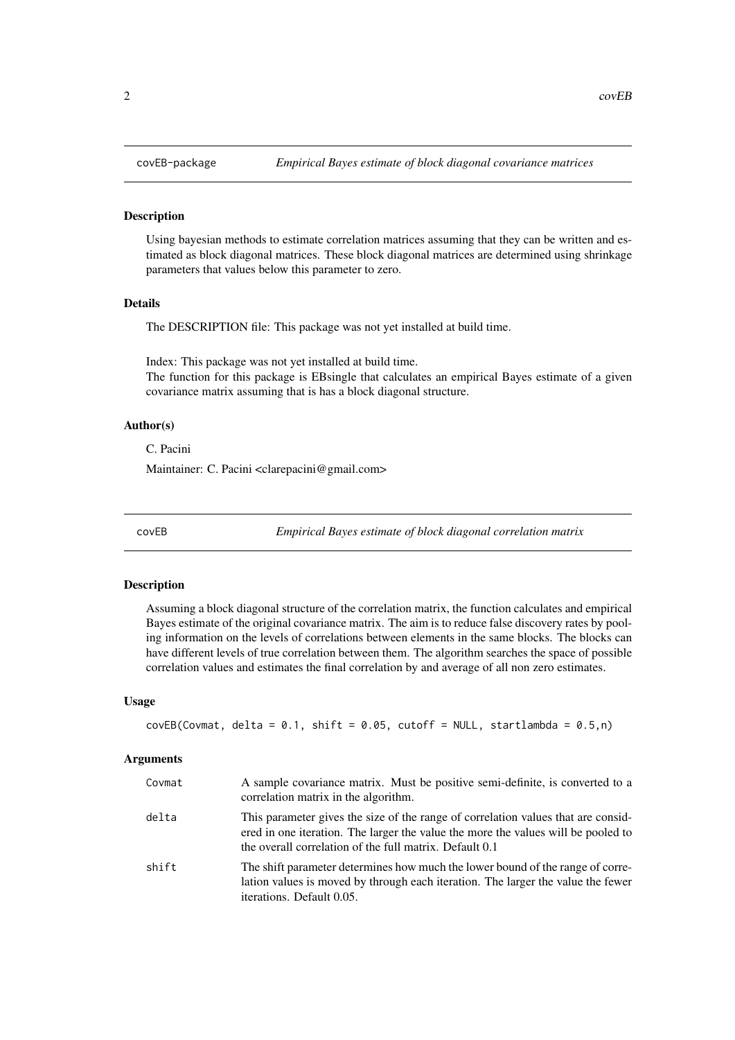#### <span id="page-1-0"></span>Description

Using bayesian methods to estimate correlation matrices assuming that they can be written and estimated as block diagonal matrices. These block diagonal matrices are determined using shrinkage parameters that values below this parameter to zero.

#### Details

The DESCRIPTION file: This package was not yet installed at build time.

Index: This package was not yet installed at build time.

The function for this package is EBsingle that calculates an empirical Bayes estimate of a given covariance matrix assuming that is has a block diagonal structure.

#### Author(s)

C. Pacini

Maintainer: C. Pacini <clarepacini@gmail.com>

covEB *Empirical Bayes estimate of block diagonal correlation matrix*

#### Description

Assuming a block diagonal structure of the correlation matrix, the function calculates and empirical Bayes estimate of the original covariance matrix. The aim is to reduce false discovery rates by pooling information on the levels of correlations between elements in the same blocks. The blocks can have different levels of true correlation between them. The algorithm searches the space of possible correlation values and estimates the final correlation by and average of all non zero estimates.

#### Usage

```
covEB(Covmat, delta = 0.1, shift = 0.05, cutoff = NULL, stratlambda = 0.5, n)
```
#### Arguments

| Covmat | A sample covariance matrix. Must be positive semi-definite, is converted to a<br>correlation matrix in the algorithm.                                                                                                             |
|--------|-----------------------------------------------------------------------------------------------------------------------------------------------------------------------------------------------------------------------------------|
| delta  | This parameter gives the size of the range of correlation values that are consid-<br>ered in one iteration. The larger the value the more the values will be pooled to<br>the overall correlation of the full matrix. Default 0.1 |
| shift  | The shift parameter determines how much the lower bound of the range of corre-<br>lation values is moved by through each iteration. The larger the value the fewer<br>iterations. Default 0.05.                                   |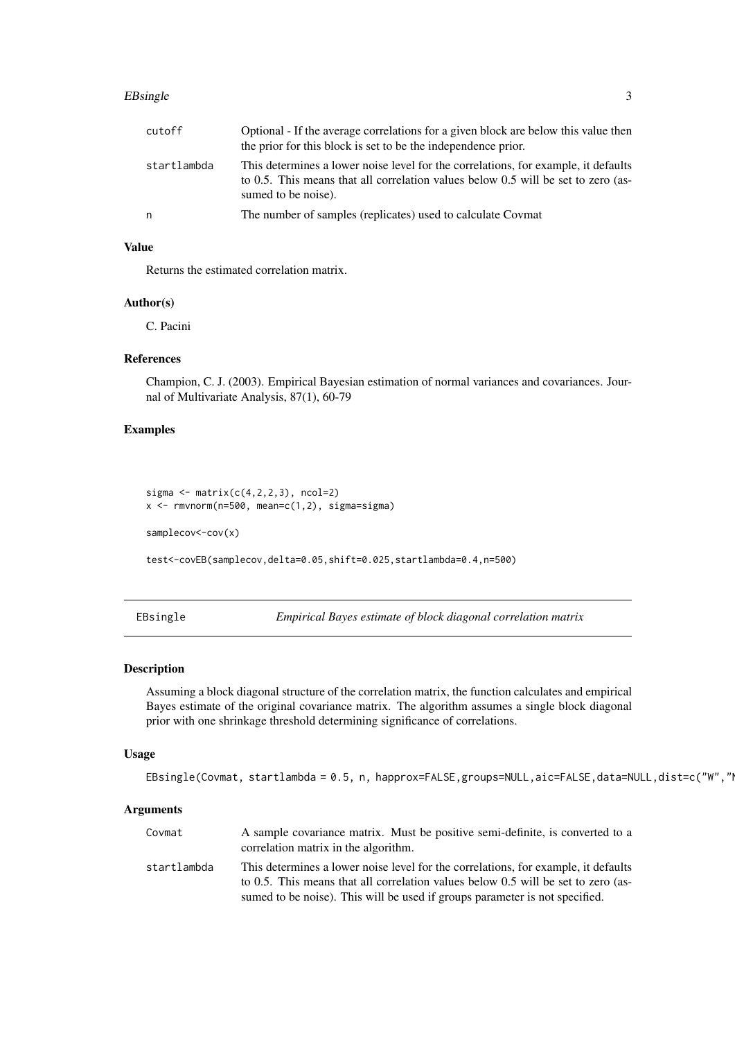#### <span id="page-2-0"></span>EBsingle 3

| cutoff      | Optional - If the average correlations for a given block are below this value then<br>the prior for this block is set to be the independence prior.                                            |
|-------------|------------------------------------------------------------------------------------------------------------------------------------------------------------------------------------------------|
| startlambda | This determines a lower noise level for the correlations, for example, it defaults<br>to 0.5. This means that all correlation values below 0.5 will be set to zero (as-<br>sumed to be noise). |
| n           | The number of samples (replicates) used to calculate Covmat                                                                                                                                    |

#### Value

Returns the estimated correlation matrix.

#### Author(s)

C. Pacini

#### References

Champion, C. J. (2003). Empirical Bayesian estimation of normal variances and covariances. Journal of Multivariate Analysis, 87(1), 60-79

#### Examples

```
sigma \leq matrix(c(4,2,2,3), ncol=2)
x <- rmvnorm(n=500, mean=c(1,2), sigma=sigma)
samplecov <- cov(x)
test<-covEB(samplecov,delta=0.05,shift=0.025,startlambda=0.4,n=500)
```
EBsingle *Empirical Bayes estimate of block diagonal correlation matrix*

#### Description

Assuming a block diagonal structure of the correlation matrix, the function calculates and empirical Bayes estimate of the original covariance matrix. The algorithm assumes a single block diagonal prior with one shrinkage threshold determining significance of correlations.

#### Usage

EBsingle(Covmat, startlambda = 0.5, n, happrox=FALSE,groups=NULL,aic=FALSE,data=NULL,dist=c("W","|

#### Arguments

| Covmat      | A sample covariance matrix. Must be positive semi-definite, is converted to a<br>correlation matrix in the algorithm.                                                                                                                                  |
|-------------|--------------------------------------------------------------------------------------------------------------------------------------------------------------------------------------------------------------------------------------------------------|
| startlambda | This determines a lower noise level for the correlations, for example, it defaults<br>to 0.5. This means that all correlation values below 0.5 will be set to zero (as-<br>sumed to be noise). This will be used if groups parameter is not specified. |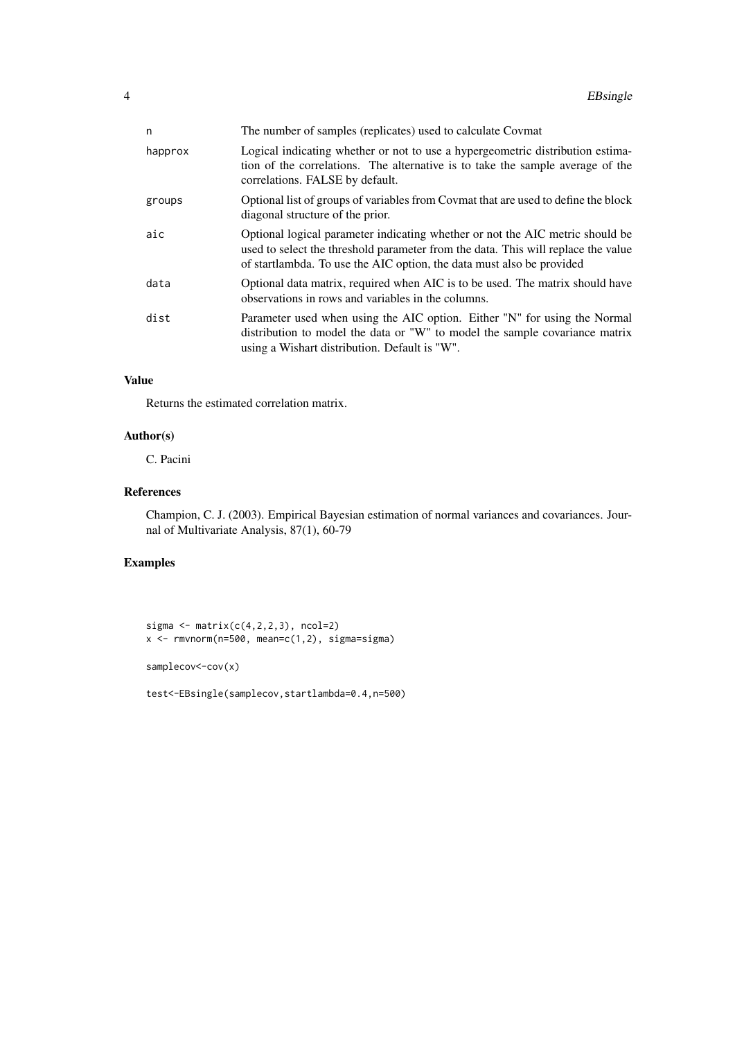| n       | The number of samples (replicates) used to calculate Covmat                                                                                                                                                                                 |
|---------|---------------------------------------------------------------------------------------------------------------------------------------------------------------------------------------------------------------------------------------------|
| happrox | Logical indicating whether or not to use a hypergeometric distribution estima-<br>tion of the correlations. The alternative is to take the sample average of the<br>correlations. FALSE by default.                                         |
| groups  | Optional list of groups of variables from Covmat that are used to define the block<br>diagonal structure of the prior.                                                                                                                      |
| aic     | Optional logical parameter indicating whether or not the AIC metric should be<br>used to select the threshold parameter from the data. This will replace the value<br>of startlambda. To use the AIC option, the data must also be provided |
| data    | Optional data matrix, required when AIC is to be used. The matrix should have<br>observations in rows and variables in the columns.                                                                                                         |
| dist    | Parameter used when using the AIC option. Either "N" for using the Normal<br>distribution to model the data or "W" to model the sample covariance matrix<br>using a Wishart distribution. Default is "W".                                   |

#### Value

Returns the estimated correlation matrix.

#### Author(s)

C. Pacini

#### References

Champion, C. J. (2003). Empirical Bayesian estimation of normal variances and covariances. Journal of Multivariate Analysis, 87(1), 60-79

#### Examples

sigma  $\leq$  matrix( $c(4,2,2,3)$ , ncol=2)  $x \leftarrow r$ mvnorm(n=500, mean=c(1,2), sigma=sigma)

samplecov<-cov(x)

test<-EBsingle(samplecov,startlambda=0.4,n=500)